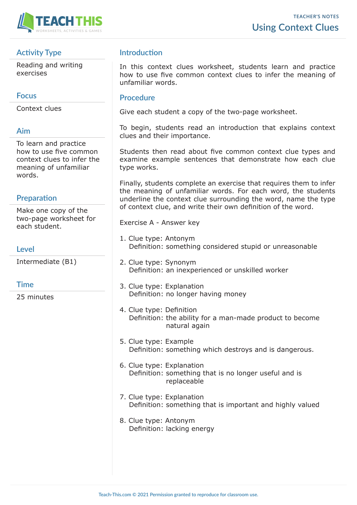

# **Activity Type**

Reading and writing exercises

### **Focus**

Context clues

## **Aim**

To learn and practice how to use five common context clues to infer the meaning of unfamiliar words.

# **Preparation**

Make one copy of the two-page worksheet for each student.

### **Level**

Intermediate (B1)

### **Time**

25 minutes

## **Introduction**

In this context clues worksheet, students learn and practice how to use five common context clues to infer the meaning of unfamiliar words.

#### **Procedure**

Give each student a copy of the two-page worksheet.

To begin, students read an introduction that explains context clues and their importance.

Students then read about five common context clue types and examine example sentences that demonstrate how each clue type works.

Finally, students complete an exercise that requires them to infer the meaning of unfamiliar words. For each word, the students underline the context clue surrounding the word, name the type of context clue, and write their own definition of the word.

Exercise A - Answer key

- 1. Clue type: Antonym Definition: something considered stupid or unreasonable
- 2. Clue type: Synonym Definition: an inexperienced or unskilled worker
- 3. Clue type: Explanation Definition: no longer having money
- 4. Clue type: Definition Definition: the ability for a man-made product to become natural again
- 5. Clue type: Example Definition: something which destroys and is dangerous.
- 6. Clue type: Explanation Definition: something that is no longer useful and is replaceable
- 7. Clue type: Explanation Definition: something that is important and highly valued
- 8. Clue type: Antonym Definition: lacking energy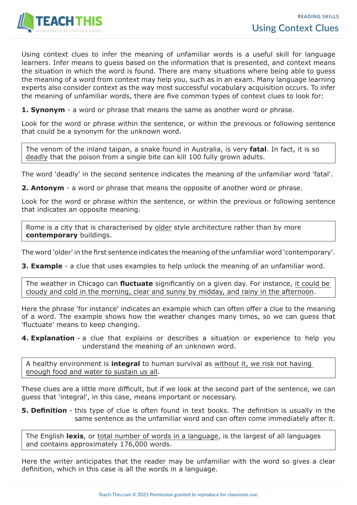

Using context clues to infer the meaning of unfamiliar words is a useful skill for language learners. Infer means to guess based on the information that is presented, and context means the situation in which the word is found. There are many situations where being able to guess the meaning of a word from context may help you, such as in an exam. Many language learning experts also consider context as the way most successful vocabulary acquisition occurs. To infer the meaning of unfamiliar words, there are five common types of context clues to look for:

**1. Synonym** - a word or phrase that means the same as another word or phrase.

Look for the word or phrase within the sentence, or within the previous or following sentence that could be a synonym for the unknown word.

The venom of the inland taipan, a snake found in Australia, is very **fatal**. In fact, it is so deadly that the poison from a single bite can kill 100 fully grown adults.

The word 'deadly' in the second sentence indicates the meaning of the unfamiliar word 'fatal'.

**2. Antonym** - a word or phrase that means the opposite of another word or phrase.

Look for the word or phrase within the sentence, or within the previous or following sentence that indicates an opposite meaning.

Rome is a city that is characterised by older style architecture rather than by more **contemporary** buildings.

The word 'older' in the first sentence indicates the meaning of the unfamiliar word 'contemporary'.

**3. Example** - a clue that uses examples to help unlock the meaning of an unfamiliar word.

The weather in Chicago can **fluctuate** significantly on a given day. For instance, it could be cloudy and cold in the morning, clear and sunny by midday, and rainy in the afternoon.

Here the phrase 'for instance' indicates an example which can often offer a clue to the meaning of a word. The example shows how the weather changes many times, so we can guess that 'fluctuate' means to keep changing.

**4. Explanation** - a clue that explains or describes a situation or experience to help you understand the meaning of an unknown word.

A healthy environment is **integral** to human survival as without it, we risk not having enough food and water to sustain us all.

These clues are a little more difficult, but if we look at the second part of the sentence, we can guess that 'integral', in this case, means important or necessary.

**5. Definition** - this type of clue is often found in text books. The definition is usually in the same sentence as the unfamiliar word and can often come immediately after it.

The English **lexis**, or total number of words in a language, is the largest of all languages and contains approximately 176,000 words.

Here the writer anticipates that the reader may be unfamiliar with the word so gives a clear definition, which in this case is all the words in a language.